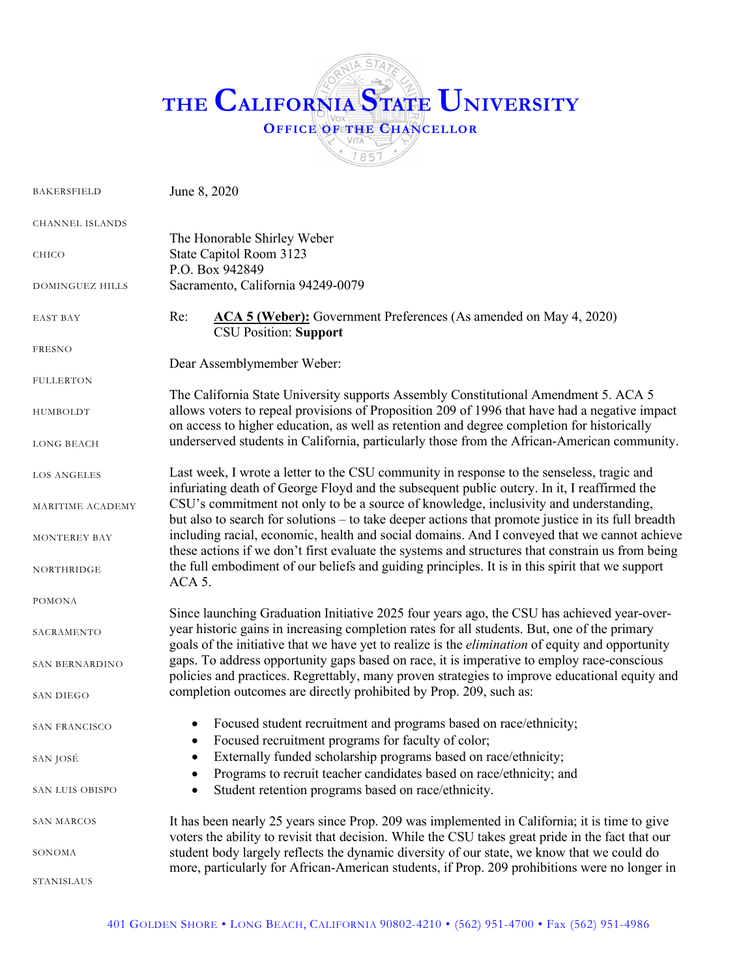## **STA THE CALIFORNIA STATE UNIVERSITY OFFICE OF THE CHANCELLOR**  $1857$

| <b>BAKERSFIELD</b>     | June 8, 2020                                                                                                                                                                                                                                                                       |
|------------------------|------------------------------------------------------------------------------------------------------------------------------------------------------------------------------------------------------------------------------------------------------------------------------------|
| <b>CHANNEL ISLANDS</b> | The Honorable Shirley Weber                                                                                                                                                                                                                                                        |
| CHICO                  | State Capitol Room 3123<br>P.O. Box 942849                                                                                                                                                                                                                                         |
| DOMINGUEZ HILLS        | Sacramento, California 94249-0079                                                                                                                                                                                                                                                  |
| <b>EAST BAY</b>        | ACA 5 (Weber): Government Preferences (As amended on May 4, 2020)<br>Re:<br><b>CSU Position: Support</b>                                                                                                                                                                           |
| <b>FRESNO</b>          | Dear Assemblymember Weber:                                                                                                                                                                                                                                                         |
| <b>FULLERTON</b>       |                                                                                                                                                                                                                                                                                    |
| HUMBOLDT               | The California State University supports Assembly Constitutional Amendment 5. ACA 5<br>allows voters to repeal provisions of Proposition 209 of 1996 that have had a negative impact<br>on access to higher education, as well as retention and degree completion for historically |
| <b>LONG BEACH</b>      | underserved students in California, particularly those from the African-American community.                                                                                                                                                                                        |
| <b>LOS ANGELES</b>     | Last week, I wrote a letter to the CSU community in response to the senseless, tragic and<br>infuriating death of George Floyd and the subsequent public outcry. In it, I reaffirmed the                                                                                           |
| MARITIME ACADEMY       | CSU's commitment not only to be a source of knowledge, inclusivity and understanding,<br>but also to search for solutions – to take deeper actions that promote justice in its full breadth                                                                                        |
| MONTEREY BAY           | including racial, economic, health and social domains. And I conveyed that we cannot achieve<br>these actions if we don't first evaluate the systems and structures that constrain us from being                                                                                   |
| NORTHRIDGE             | the full embodiment of our beliefs and guiding principles. It is in this spirit that we support<br>ACA 5.                                                                                                                                                                          |
| POMONA                 | Since launching Graduation Initiative 2025 four years ago, the CSU has achieved year-over-                                                                                                                                                                                         |
| SACRAMENTO             | year historic gains in increasing completion rates for all students. But, one of the primary<br>goals of the initiative that we have yet to realize is the <i>elimination</i> of equity and opportunity                                                                            |
| SAN BERNARDINO         | gaps. To address opportunity gaps based on race, it is imperative to employ race-conscious<br>policies and practices. Regrettably, many proven strategies to improve educational equity and                                                                                        |
| <b>SAN DIEGO</b>       | completion outcomes are directly prohibited by Prop. 209, such as:                                                                                                                                                                                                                 |
| SAN FRANCISCO          | Focused student recruitment and programs based on race/ethnicity;<br>Focused recruitment programs for faculty of color;                                                                                                                                                            |
| SAN JOSÉ               | Externally funded scholarship programs based on race/ethnicity;                                                                                                                                                                                                                    |
| SAN LUIS OBISPO        | Programs to recruit teacher candidates based on race/ethnicity; and<br>Student retention programs based on race/ethnicity.                                                                                                                                                         |
| SAN MARCOS             | It has been nearly 25 years since Prop. 209 was implemented in California; it is time to give<br>voters the ability to revisit that decision. While the CSU takes great pride in the fact that our                                                                                 |
| SONOMA                 | student body largely reflects the dynamic diversity of our state, we know that we could do<br>more, particularly for African-American students, if Prop. 209 prohibitions were no longer in                                                                                        |
| STANISLAUS             |                                                                                                                                                                                                                                                                                    |